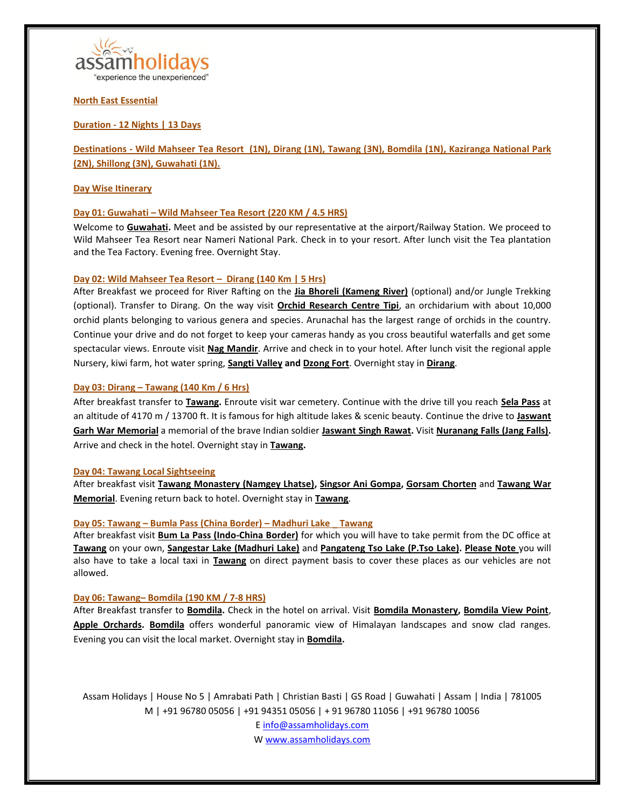

**North East Essential**

# **Duration - 12 Nights | 13 Days**

**Destinations - Wild Mahseer Tea Resort (1N), [Dirang](https://en.wikipedia.org/wiki/Dirang) (1N), [Tawang](https://en.wikipedia.org/wiki/Tawang) (3N), [Bomdila](https://en.wikipedia.org/wiki/Bomdila) (1N), [Kaziranga National Park](https://en.wikipedia.org/wiki/Kaziranga_National_Park) (2N)[, Shillong](https://en.wikipedia.org/wiki/Shillong) (3N)[, Guwahati](https://en.wikipedia.org/wiki/Guwahati) (1N).**

## **Day Wise Itinerary**

## **Day 01: [Guwahati](https://en.wikipedia.org/wiki/Guwahati) – Wild Mahseer Tea Resort (220 KM / 4.5 HRS)**

Welcome to **[Guwahati.](https://en.wikipedia.org/wiki/Guwahati)** Meet and be assisted by our representative at the airport/Railway Station. We proceed to Wild Mahseer Tea Resort near Nameri National Park. Check in to your resort. After lunch visit the Tea plantation and the Tea Factory. Evening free. Overnight Stay.

## **Day 02: Wild Mahseer Tea Resort – [Dirang](https://en.wikipedia.org/wiki/Dirang) (140 Km | 5 Hrs)**

After Breakfast we proceed for River Rafting on the **[Jia Bhoreli \(Kameng River\)](https://en.wikipedia.org/wiki/Kameng_River)** (optional) and/or Jungle Trekking (optional). Transfer to Dirang. On the way visit **[Orchid Research Centre Tipi](http://sfri.nic.in/tipi.htm)**, an orchidarium with about 10,000 orchid plants belonging to various genera and species. Arunachal has the largest range of orchids in the country. Continue your drive and do not forget to keep your cameras handy as you cross beautiful waterfalls and get some spectacular views. Enroute visit **[Nag Mandir](https://www.angraj.com/a-trip-to-historical-nag-mandir-at-arunachal-pradesh/)**. Arrive and check in to your hotel. After lunch visit the regional apple Nursery, kiwi farm, hot water spring, **[Sangti Valley](https://www.tripadvisor.in/Attraction_Review-g1486505-d9722260-Reviews-Sangti_Valley-Dirang_West_Kameng_District_Arunachal_Pradesh.html) and [Dzong Fort](https://www.tripadvisor.in/Attraction_Review-g1486505-d4475339-Reviews-Dirang_Dzong_Fort-Dirang_West_Kameng_District_Arunachal_Pradesh.html)**. Overnight stay in **[Dirang](https://en.wikipedia.org/wiki/Dirang)**.

# **Day 03: [Dirang](https://en.wikipedia.org/wiki/Dirang) – [Tawang](https://en.wikipedia.org/wiki/Tawang) (140 Km / 6 Hrs)**

After breakfast transfer to **[Tawang.](https://en.wikipedia.org/wiki/Tawang)** Enroute visit war cemetery. Continue with the drive till you reach **[Sela Pass](https://en.wikipedia.org/wiki/Sela_Pass)** at an altitude of 4170 m / 13700 ft. It is famous for high altitude lakes & scenic beauty. Continue the drive to **[Jaswant](https://www.tripadvisor.in/Attraction_Review-g858483-d3218252-Reviews-Jaswant_Garh-Tawang_Tawang_District_Arunachal_Pradesh.html)  [Garh War Memorial](https://www.tripadvisor.in/Attraction_Review-g858483-d3218252-Reviews-Jaswant_Garh-Tawang_Tawang_District_Arunachal_Pradesh.html)** a memorial of the brave Indian soldier **[Jaswant Singh Rawat.](https://en.wikipedia.org/wiki/Jaswant_Singh_Rawat)** Visit **[Nuranang Falls \(Jang Falls\).](https://en.wikipedia.org/wiki/Nuranang_Falls)** Arrive and check in the hotel. Overnight stay in **[Tawang.](https://en.wikipedia.org/wiki/Tawang)**

### **Day 04: [Tawang](https://en.wikipedia.org/wiki/Tawang) Local Sightseeing**

After breakfast visit **[Tawang Monastery \(Namgey Lhatse\),](https://en.wikipedia.org/wiki/Tawang_Monastery) [Singsor Ani Gompa,](https://www.tripadvisor.in/Attraction_Review-g858483-d4138896-Reviews-Singsor_Ani_Gompa-Tawang_Tawang_District_Arunachal_Pradesh.html) [Gorsam Chorten](https://www.tripadvisor.in/Attraction_Review-g858483-d10305296-Reviews-Gorsam_Chorten-Tawang_Tawang_District_Arunachal_Pradesh.html)** and **[Tawang War](https://www.tripadvisor.in/Attraction_Review-g858483-d3244711-Reviews-Tawang_War_Memorial-Tawang_Tawang_District_Arunachal_Pradesh.html)  [Memorial](https://www.tripadvisor.in/Attraction_Review-g858483-d3244711-Reviews-Tawang_War_Memorial-Tawang_Tawang_District_Arunachal_Pradesh.html)**. Evening return back to hotel. Overnight stay in **[Tawang](https://en.wikipedia.org/wiki/Tawang)**.

# **Day 05: [Tawang](https://en.wikipedia.org/wiki/Tawang) – Bumla Pass (China Border) – Madhuri Lake \_ Tawang**

After breakfast visit **[Bum La Pass \(Indo-China Border\)](https://en.wikipedia.org/wiki/Bum_La_Pass)** for which you will have to take permit from the DC office at **[Tawang](https://en.wikipedia.org/wiki/Tawang)** on your own, **[Sangestar Lake \(Madhuri Lake\)](https://www.tripadvisor.in/Attraction_Review-g858483-d2538340-Reviews-Madhuri_Lake-Tawang_Tawang_District_Arunachal_Pradesh.html)** and **[Pangateng Tso Lake \(P.Tso Lake\).](https://www.tripadvisor.in/Attraction_Review-g858483-d3913005-Reviews-Pangateng_Tso_Lake-Tawang_Tawang_District_Arunachal_Pradesh.html) Please Note** you will also have to take a local taxi in **[Tawang](https://en.wikipedia.org/wiki/Tawang)** on direct payment basis to cover these places as our vehicles are not allowed.

### **Day 06: [Tawang](https://en.wikipedia.org/wiki/Tawang)– [Bomdila](https://en.wikipedia.org/wiki/Bomdila) (190 KM / 7-8 HRS)**

After Breakfast transfer to **[Bomdila.](https://en.wikipedia.org/wiki/Bomdila)** Check in the hotel on arrival. Visit **[Bomdila Monastery,](https://www.tripadvisor.in/Attraction_Review-g858482-d3912763-Reviews-Bomdila_Monastery-Bomdila_West_Kameng_District_Arunachal_Pradesh.html) [Bomdila View Point](https://www.tripadvisor.in/Attraction_Review-g858482-d4155035-Reviews-Bomdila_View_Point-Bomdila_West_Kameng_District_Arunachal_Pradesh.html)**, **[Apple Orchards.](https://www.tripadvisor.in/Attraction_Review-g858482-d4151775-Reviews-Apple_Orchards-Bomdila_West_Kameng_District_Arunachal_Pradesh.html) [Bomdila](https://en.wikipedia.org/wiki/Bomdila)** offers wonderful panoramic view of Himalayan landscapes and snow clad ranges. Evening you can visit the local market. Overnight stay in **[Bomdila.](https://en.wikipedia.org/wiki/Bomdila)**

Assam Holidays | House No 5 | Amrabati Path | Christian Basti | GS Road | Guwahati | Assam | India | 781005 M | +91 96780 05056 | +91 94351 05056 | + 91 96780 11056 | +91 96780 10056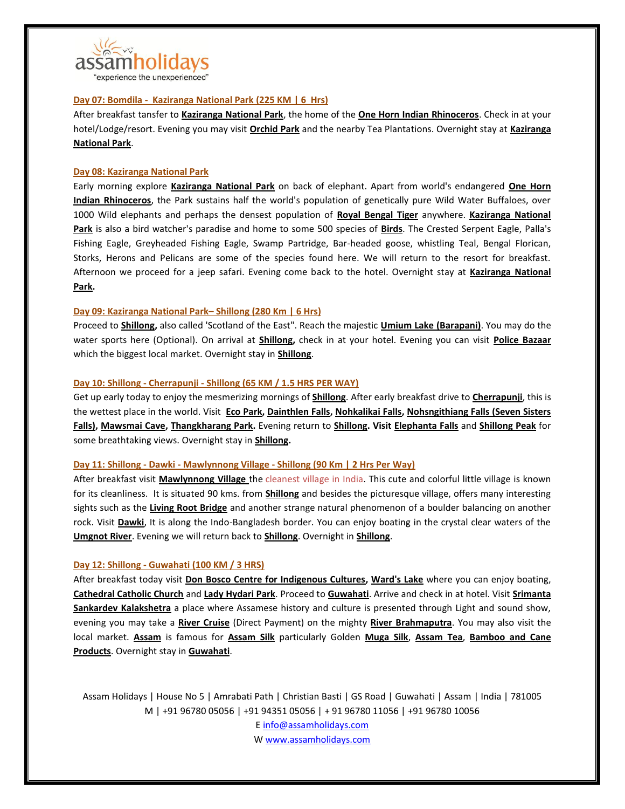

### **Day 07: [Bomdila](https://en.wikipedia.org/wiki/Bomdila) - [Kaziranga National Park](https://en.wikipedia.org/wiki/Kaziranga_National_Park) (225 KM | 6 Hrs)**

After breakfast tansfer to **[Kaziranga National Park](https://en.wikipedia.org/wiki/Kaziranga_National_Park)**, the home of the **[One Horn Indian Rhinoceros](https://en.wikipedia.org/wiki/Indian_rhinoceros)**. Check in at your hotel/Lodge/resort. Evening you may visit **[Orchid Park](https://www.tripadvisor.in/Attraction_Review-g858488-d10033999-Reviews-Kaziranga_National_Orchid_And_Biodiversity_Park-Kaziranga_National_Park_Nagaon_D.html)** and the nearby Tea Plantations. Overnight stay at **[Kaziranga](https://en.wikipedia.org/wiki/Kaziranga_National_Park)  [National Park](https://en.wikipedia.org/wiki/Kaziranga_National_Park)**.

#### **Day 08: [Kaziranga National Park](https://en.wikipedia.org/wiki/Kaziranga_National_Park)**

Early morning explore **[Kaziranga National Park](https://en.wikipedia.org/wiki/Kaziranga_National_Park)** on back of elephant. Apart from world's endangered **[One Horn](https://en.wikipedia.org/wiki/Indian_rhinoceros)  [Indian Rhinoceros](https://en.wikipedia.org/wiki/Indian_rhinoceros)**, the Park sustains half the world's population of genetically pure Wild Water Buffaloes, over 1000 Wild elephants and perhaps the densest population of **[Royal Bengal Tiger](https://en.wikipedia.org/wiki/Bengal_tiger)** anywhere. **[Kaziranga National](https://en.wikipedia.org/wiki/Kaziranga_National_Park)  [Park](https://en.wikipedia.org/wiki/Kaziranga_National_Park)** is also a bird watcher's paradise and home to some 500 species of **[Birds](https://en.wikipedia.org/wiki/List_of_birds_of_Kaziranga_National_Park)**. The Crested Serpent Eagle, Palla's Fishing Eagle, Greyheaded Fishing Eagle, Swamp Partridge, Bar-headed goose, whistling Teal, Bengal Florican, Storks, Herons and Pelicans are some of the species found here. We will return to the resort for breakfast. Afternoon we proceed for a jeep safari. Evening come back to the hotel. Overnight stay at **[Kaziranga National](https://en.wikipedia.org/wiki/Kaziranga_National_Park)  [Park.](https://en.wikipedia.org/wiki/Kaziranga_National_Park)**

#### **Day 09: [Kaziranga National Park](https://en.wikipedia.org/wiki/Kaziranga_National_Park)– [Shillong](https://en.wikipedia.org/wiki/Shillong) (280 Km | 6 Hrs)**

Proceed to **[Shillong,](https://en.wikipedia.org/wiki/Shillong)** also called 'Scotland of the East". Reach the majestic **[Umium Lake \(Barapani\)](https://en.wikipedia.org/wiki/Umiam_Lake)**. You may do the water sports here (Optional). On arrival at **[Shillong,](https://en.wikipedia.org/wiki/Shillong)** check in at your hotel. Evening you can visit **[Police Bazaar](https://www.tripadvisor.in/Attraction_Review-g503702-d3657832-Reviews-Police_Bazar-Shillong_East_Khasi_Hills_District_Meghalaya.html)** which the biggest local market. Overnight stay in **[Shillong](https://en.wikipedia.org/wiki/Shillong)**.

#### **Day 10: [Shillong](https://en.wikipedia.org/wiki/Shillong) - [Cherrapunji](https://en.wikipedia.org/wiki/Cherrapunji) - [Shillong](https://en.wikipedia.org/wiki/Shillong) (65 KM / 1.5 HRS PER WAY)**

Get up early today to enjoy the mesmerizing mornings of **[Shillong](https://en.wikipedia.org/wiki/Shillong)**. After early breakfast drive to **[Cherrapunji](https://en.wikipedia.org/wiki/Cherrapunji)**, this is the wettest place in the world. Visit **[Eco Park,](https://www.tripadvisor.in/Attraction_Review-g668046-d2441153-Reviews-Eco_Park-Cherrapunjee_East_Khasi_Hills_District_Meghalaya.html) [Dainthlen Falls,](https://www.tripadvisor.in/Attraction_Review-g668046-d2441122-Reviews-Dain_Thlen_Falls-Cherrapunjee_East_Khasi_Hills_District_Meghalaya.html) [Nohkalikai Falls,](https://en.wikipedia.org/wiki/Nohkalikai_Falls) [Nohsngithiang Falls \(Seven Sisters](https://en.wikipedia.org/wiki/Nohsngithiang_Falls)  [Falls\),](https://en.wikipedia.org/wiki/Nohsngithiang_Falls) [Mawsmai Cave,](https://www.tripadvisor.in/Attraction_Review-g668046-d2336019-Reviews-Mawsmai_Cave-Cherrapunjee_East_Khasi_Hills_District_Meghalaya.html) [Thangkharang Park.](https://www.tripadvisor.in/Attraction_Review-g668046-d2441156-Reviews-Thangkharang_Park-Cherrapunjee_East_Khasi_Hills_District_Meghalaya.html)** Evening return to **[Shillong.](https://en.wikipedia.org/wiki/Shillong) Visit [Elephanta Falls](https://www.tripadvisor.in/Attraction_Review-g503702-d501155-Reviews-Elephant_Falls-Shillong_East_Khasi_Hills_District_Meghalaya.html)** and **[Shillong Peak](https://www.tripadvisor.in/Attraction_Review-g297657-d2343336-Reviews-Shillong_Peak-Meghalaya.html)** for some breathtaking views. Overnight stay in **[Shillong.](https://en.wikipedia.org/wiki/Shillong)**

#### **Day 11: [Shillong](https://en.wikipedia.org/wiki/Shillong) - [Dawki](https://en.wikipedia.org/wiki/Dawki) - [Mawlynnong Village](https://en.wikipedia.org/wiki/Mawlynnong) - [Shillong](https://en.wikipedia.org/wiki/Shillong) (90 Km | 2 Hrs Per Way)**

After breakfast visit **[Mawlynnong Village](https://en.wikipedia.org/wiki/Mawlynnong)** the cleanest village in India. This cute and colorful little village is known for its cleanliness. It is situated 90 kms. from **[Shillong](https://en.wikipedia.org/wiki/Shillong)** and besides the picturesque village, offers many interesting sights such as the **[Living Root Bridge](https://www.tripadvisor.in/Attraction_Review-g2435898-d2345071-Reviews-Roots_Bridges-Mawlynnong_East_Khasi_Hills_District_Meghalaya.html)** and another strange natural phenomenon of a boulder balancing on another rock. Visit **[Dawki](https://en.wikipedia.org/wiki/Dawki)**, It is along the Indo-Bangladesh border. You can enjoy boating in the crystal clear waters of the **[Umgnot River](https://www.tripadvisor.in/ShowUserReviews-g297657-d8817987-r375157644-Dawki_River-Meghalaya.html)**. Evening we will return back to **[Shillong](https://en.wikipedia.org/wiki/Shillong)**. Overnight in **[Shillong](https://en.wikipedia.org/wiki/Shillong)**.

### **Day 12: [Shillong](https://en.wikipedia.org/wiki/Shillong) - [Guwahati](https://en.wikipedia.org/wiki/Guwahati) (100 KM / 3 HRS)**

After breakfast today visit **[Don Bosco Centre for Indigenous Cultures,](https://www.tripadvisor.in/Attraction_Review-g503702-d2426003-Reviews-Don_Bosco_Centre_for_Indigenous_Cultures-Shillong_East_Khasi_Hills_District_Megha.html) [Ward's Lake](https://www.tripadvisor.in/Attraction_Review-g503702-d1209950-Reviews-Ward_s_Lake-Shillong_East_Khasi_Hills_District_Meghalaya.html)** where you can enjoy boating, **[Cathedral Catholic Church](https://www.tripadvisor.in/Attraction_Review-g503702-d2441185-Reviews-Cathedral_of_Mary_Help_of_Christians-Shillong_East_Khasi_Hills_District_Meghalaya.html)** and **[Lady Hydari Park](https://www.tripadvisor.in/Attraction_Review-g503702-d2336023-Reviews-Lady_Hydari_Park-Shillong_East_Khasi_Hills_District_Meghalaya.html)**. Proceed to **[Guwahati](https://en.wikipedia.org/wiki/Guwahati)**. Arrive and check in at hotel. Visit **[Srimanta](https://en.wikipedia.org/wiki/Srimanta_Sankardev_Kalakshetra)  [Sankardev Kalakshetra](https://en.wikipedia.org/wiki/Srimanta_Sankardev_Kalakshetra)** a place where Assamese history and culture is presented through Light and sound show, evening you may take a **[River Cruise](http://www.alfrescogrand.com/)** (Direct Payment) on the mighty **[River Brahmaputra](https://en.wikipedia.org/wiki/Brahmaputra_River)**. You may also visit the local market. **[Assam](https://en.wikipedia.org/wiki/Assam)** is famous for **[Assam Silk](https://en.wikipedia.org/wiki/Assam_silk)** particularly Golden **[Muga Silk](https://en.wikipedia.org/wiki/Muga_silk)**, **[Assam Tea](https://en.wikipedia.org/wiki/Assam_tea)**, **[Bamboo and Cane](https://www.google.co.in/search?q=assam+cane+and+bamboo+product&source=lnms&tbm=isch&sa=X&ved=0ahUKEwizrqet8ZPcAhWCqY8KHdrtCTk4ChD8BQgKKAE&biw=1536&bih=734)  [Products](https://www.google.co.in/search?q=assam+cane+and+bamboo+product&source=lnms&tbm=isch&sa=X&ved=0ahUKEwizrqet8ZPcAhWCqY8KHdrtCTk4ChD8BQgKKAE&biw=1536&bih=734)**. Overnight stay in **[Guwahati](https://en.wikipedia.org/wiki/Guwahati)**.

Assam Holidays | House No 5 | Amrabati Path | Christian Basti | GS Road | Guwahati | Assam | India | 781005 M | +91 96780 05056 | +91 94351 05056 | + 91 96780 11056 | +91 96780 10056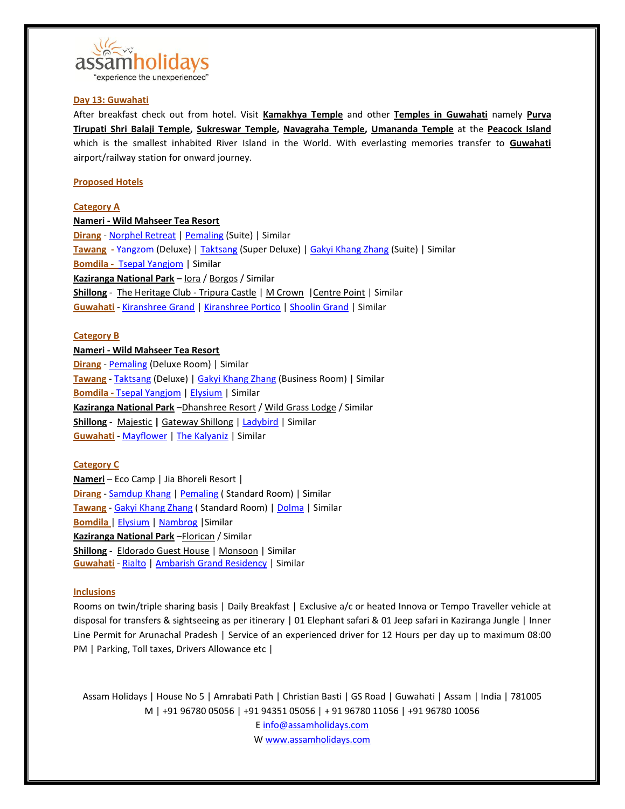

## **Day 13: [Guwahati](https://en.wikipedia.org/wiki/Guwahati)**

After breakfast check out from hotel. Visit **[Kamakhya Temple](https://en.wikipedia.org/wiki/Kamakhya_Temple)** and other **[Temples in Guwahati](https://en.wikipedia.org/wiki/List_of_temples_in_Guwahati)** namely **[Purva](https://www.tripadvisor.in/Attraction_Review-g503692-d7757268-Reviews-Purva_Tirupati_Shri_Balaji_temple-Guwahati_Kamrup_Metropolitan_District_Assam.html)  [Tirupati Shri Balaji Temple,](https://www.tripadvisor.in/Attraction_Review-g503692-d7757268-Reviews-Purva_Tirupati_Shri_Balaji_temple-Guwahati_Kamrup_Metropolitan_District_Assam.html) [Sukreswar Temple,](https://en.wikipedia.org/wiki/Sukreswar_Temple) [Navagraha Temple,](https://en.wikipedia.org/wiki/Navagraha_temples%23Navagraha_Temple_in_Assam) [Umananda Temple](https://en.wikipedia.org/wiki/Umananda_Temple)** at the **[Peacock Island](https://en.wikipedia.org/wiki/Umananda_Island)** which is the smallest inhabited River Island in the World. With everlasting memories transfer to **[Guwahati](https://en.wikipedia.org/wiki/Guwahati)** airport/railway station for onward journey.

## **Proposed Hotels**

### **Category A**

### **Nameri - Wild Mahseer Tea Resort**

**[Dirang](https://en.wikipedia.org/wiki/Dirang)** - [Norphel Retreat](http://www.norphelretreat.in/) [| Pemaling](https://hotelpemaling.com/) (Suite) | Similar **[Tawang](https://en.wikipedia.org/wiki/Tawang) -** [Yangzom](http://www.hotelyangzom.com/about-us.html) (Deluxe) [| Taktsang](http://hoteltaktsang.in/starhotel/index.php) (Super Deluxe) | [Gakyi Khang Zhang](https://www.tripadvisor.in/Hotel_Review-g858483-d2087293-Reviews-Hotel_Gakyi_Khang_Zhang-Tawang_Tawang_District_Arunachal_Pradesh.html) (Suite) | Similar **[Bomdila](https://en.wikipedia.org/wiki/Bomdila) -** [Tsepal Yangjom](http://hoteltsepalyangjom.in/accommodation.html) | Similar **[Kaziranga National Park](https://en.wikipedia.org/wiki/Kaziranga_National_Park)** – [Iora](http://kazirangasafari.com/) / [Borgos](http://kazirangaborgos.com/) / Similar **[Shillong](https://en.wikipedia.org/wiki/Shillong)** - [The Heritage Club -](http://www.tripuracastle.com/) Tripura Castle [| M Crown](http://www.mcrownhotel.com/) | Centre Point | Similar **[Guwahati](https://en.wikipedia.org/wiki/Guwahati)** - [Kiranshree Grand](http://kiranshreegrand.com/) | [Kiranshree Portico](http://www.kiranshreeportico.com/) | [Shoolin Grand](http://shoolingrand.co.in/) | Similar

## **Category B**

**Nameri - Wild Mahseer Tea Resort [Dirang](https://en.wikipedia.org/wiki/Dirang)** - [Pemaling](https://hotelpemaling.com/) (Deluxe Room) | Similar **[Tawang](https://en.wikipedia.org/wiki/Tawang)** - [Taktsang](http://hoteltaktsang.in/starhotel/index.php) (Deluxe) [| Gakyi Khang Zhang](https://www.tripadvisor.in/Hotel_Review-g858483-d2087293-Reviews-Hotel_Gakyi_Khang_Zhang-Tawang_Tawang_District_Arunachal_Pradesh.html) (Business Room) | Similar **[Bomdila](https://en.wikipedia.org/wiki/Bomdila) -** [Tsepal Yangjom](http://hoteltsepalyangjom.in/accommodation.html) [| Elysium](https://www.tripadvisor.in/Hotel_Review-g858482-d5111639-Reviews-Hotel_Elysium-Bomdila_West_Kameng_District_Arunachal_Pradesh.html) | Similar **[Kaziranga National Park](https://en.wikipedia.org/wiki/Kaziranga_National_Park)** –[Dhanshree Resort](http://dhanshreeresort.com/) [/ Wild Grass Lodge](https://www.tripadvisor.in/Hotel_Review-g858488-d501565-Reviews-Wild_Grass_Lodge-Kaziranga_National_Park_Nagaon_District_Assam.html) / Similar **[Shillong](https://en.wikipedia.org/wiki/Shillong)** - [Majestic](http://majesticmonsoonshillong.com/) **|** [Gateway Shillong](http://gatewayshillong.com/) | [Ladybird](http://www.ladybirdhotel.com/) | Similar **[Guwahati](https://en.wikipedia.org/wiki/Guwahati)** - [Mayflower](http://mayflowerhotel.in.net/) | [The Kalyaniz](http://hotelthekalyaniz.com/) | Similar

### **Category C**

**Nameri** – Eco Camp | Jia Bhoreli Resort | **[Dirang](https://en.wikipedia.org/wiki/Dirang)** - [Samdup Khang](https://hotel-samdup-khang.business.site/) [| Pemaling](https://hotelpemaling.com/) ( Standard Room) | Similar **[Tawang](https://en.wikipedia.org/wiki/Tawang)** - [Gakyi Khang Zhang](https://www.tripadvisor.in/Hotel_Review-g858483-d2087293-Reviews-Hotel_Gakyi_Khang_Zhang-Tawang_Tawang_District_Arunachal_Pradesh.html) ( Standard Room) [| Dolma](http://dolmahotels.in/about_us.php) | Similar **[Bomdila](https://en.wikipedia.org/wiki/Bomdila)** [| Elysium](https://www.tripadvisor.in/Hotel_Review-g858482-d5111639-Reviews-Hotel_Elysium-Bomdila_West_Kameng_District_Arunachal_Pradesh.html) [| Nambrog](https://www.tripadvisor.in/Hotel_Review-g858482-d12957379-Reviews-Hotel_Nambrog-Bomdila_West_Kameng_District_Arunachal_Pradesh.html) |Similar **[Kaziranga National Park](https://en.wikipedia.org/wiki/Kaziranga_National_Park)** –[Florican](http://www.kazirangaflorican.com/) / Similar **[Shillong](https://en.wikipedia.org/wiki/Shillong)** - [Eldorado Guest House](https://www.tripadvisor.in/Hotel_Review-g503702-d1814935-Reviews-Eldorado_Guest_House-Shillong_East_Khasi_Hills_District_Meghalaya.html) [| Monsoon](http://majesticmonsoonshillong.com/hotel-monsoon-2/) | Similar **[Guwahati](https://en.wikipedia.org/wiki/Guwahati)** - [Rialto](http://www.hotelrialto.in/) [| Ambarish Grand Residency](http://hotelambarishgrandresidency.com/) | Similar

# **Inclusions**

Rooms on twin/triple sharing basis | Daily Breakfast | Exclusive a/c or heated Innova or Tempo Traveller vehicle at disposal for transfers & sightseeing as per itinerary | 01 Elephant safari & 01 Jeep safari in Kaziranga Jungle | Inner Line Permit for Arunachal Pradesh | Service of an experienced driver for 12 Hours per day up to maximum 08:00 PM | Parking, Toll taxes, Drivers Allowance etc |

Assam Holidays | House No 5 | Amrabati Path | Christian Basti | GS Road | Guwahati | Assam | India | 781005 M | +91 96780 05056 | +91 94351 05056 | + 91 96780 11056 | +91 96780 10056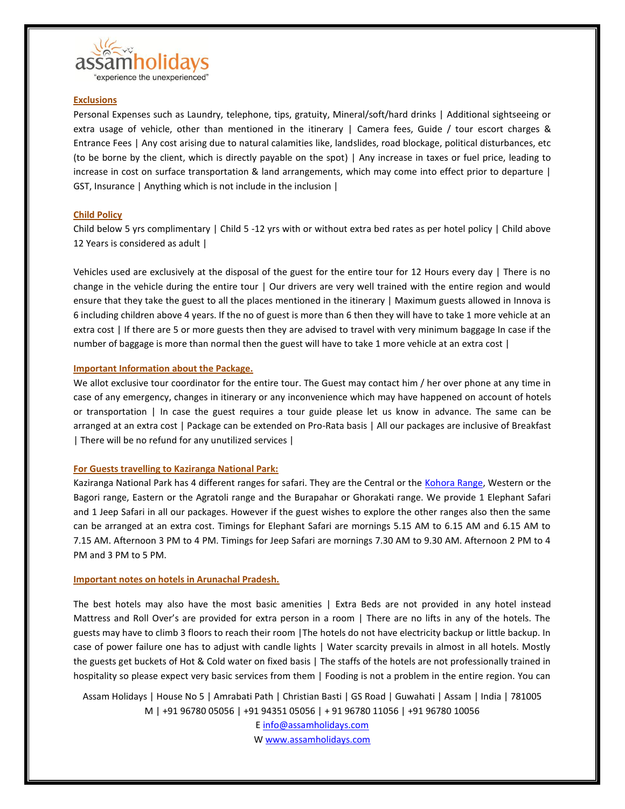

## **Exclusions**

Personal Expenses such as Laundry, telephone, tips, gratuity, Mineral/soft/hard drinks | Additional sightseeing or extra usage of vehicle, other than mentioned in the itinerary | Camera fees, Guide / tour escort charges & Entrance Fees | Any cost arising due to natural calamities like, landslides, road blockage, political disturbances, etc (to be borne by the client, which is directly payable on the spot) | Any increase in taxes or fuel price, leading to increase in cost on surface transportation & land arrangements, which may come into effect prior to departure | GST, Insurance | Anything which is not include in the inclusion |

### **Child Policy**

Child below 5 yrs complimentary | Child 5 -12 yrs with or without extra bed rates as per hotel policy | Child above 12 Years is considered as adult |

Vehicles used are exclusively at the disposal of the guest for the entire tour for 12 Hours every day | There is no change in the vehicle during the entire tour | Our drivers are very well trained with the entire region and would ensure that they take the guest to all the places mentioned in the itinerary | Maximum guests allowed in Innova is 6 including children above 4 years. If the no of guest is more than 6 then they will have to take 1 more vehicle at an extra cost | If there are 5 or more guests then they are advised to travel with very minimum baggage In case if the number of baggage is more than normal then the guest will have to take 1 more vehicle at an extra cost |

## **Important Information about the Package.**

We allot exclusive tour coordinator for the entire tour. The Guest may contact him / her over phone at any time in case of any emergency, changes in itinerary or any inconvenience which may have happened on account of hotels or transportation | In case the guest requires a tour guide please let us know in advance. The same can be arranged at an extra cost | Package can be extended on Pro-Rata basis | All our packages are inclusive of Breakfast | There will be no refund for any unutilized services |

### **For Guests travelling to Kaziranga National Park:**

Kaziranga National Park has 4 different ranges for safari. They are the Central or the [Kohora Range,](https://en.wikipedia.org/wiki/Kohora) Western or the Bagori range, Eastern or the Agratoli range and the Burapahar or Ghorakati range. We provide 1 Elephant Safari and 1 Jeep Safari in all our packages. However if the guest wishes to explore the other ranges also then the same can be arranged at an extra cost. Timings for Elephant Safari are mornings 5.15 AM to 6.15 AM and 6.15 AM to 7.15 AM. Afternoon 3 PM to 4 PM. Timings for Jeep Safari are mornings 7.30 AM to 9.30 AM. Afternoon 2 PM to 4 PM and 3 PM to 5 PM.

### **Important notes on hotels in Arunachal Pradesh.**

The best hotels may also have the most basic amenities | Extra Beds are not provided in any hotel instead Mattress and Roll Over's are provided for extra person in a room | There are no lifts in any of the hotels. The guests may have to climb 3 floors to reach their room |The hotels do not have electricity backup or little backup. In case of power failure one has to adjust with candle lights | Water scarcity prevails in almost in all hotels. Mostly the guests get buckets of Hot & Cold water on fixed basis | The staffs of the hotels are not professionally trained in hospitality so please expect very basic services from them | Fooding is not a problem in the entire region. You can

Assam Holidays | House No 5 | Amrabati Path | Christian Basti | GS Road | Guwahati | Assam | India | 781005 M | +91 96780 05056 | +91 94351 05056 | + 91 96780 11056 | +91 96780 10056